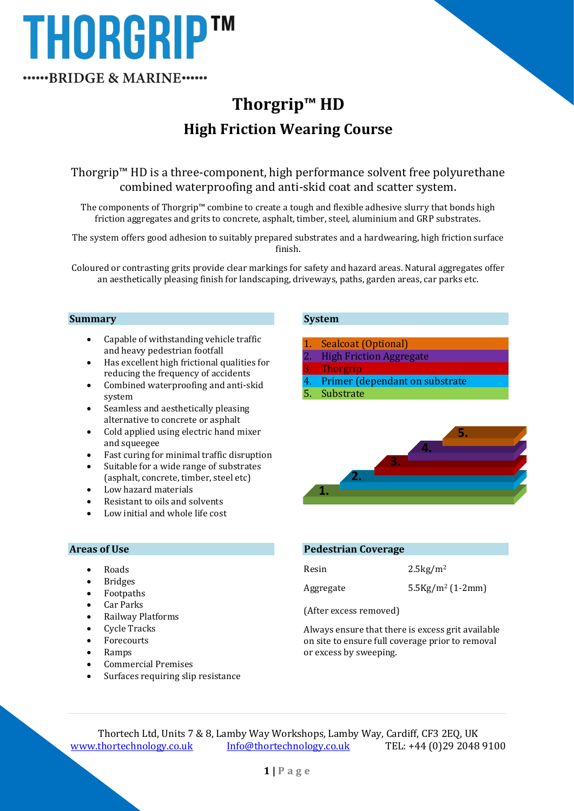# **THORGRIPTM** ......BRIDGE & MARINE......

## **Thorgrip™ HD High Friction Wearing Course**

Thorgrip™ HD is a three-component, high performance solvent free polyurethane combined waterproofing and anti-skid coat and scatter system.

The components of Thorgrip™ combine to create a tough and flexible adhesive slurry that bonds high friction aggregates and grits to concrete, asphalt, timber, steel, aluminium and GRP substrates.

The system offers good adhesion to suitably prepared substrates and a hardwearing, high friction surface finish.

Coloured or contrasting grits provide clear markings for safety and hazard areas. Natural aggregates offer an aesthetically pleasing finish for landscaping, driveways, paths, garden areas, car parks etc.

#### **Summary**

- Capable of withstanding vehicle traffic and heavy pedestrian footfall
- Has excellent high frictional qualities for reducing the frequency of accidents
- Combined waterproofing and anti-skid system
- Seamless and aesthetically pleasing alternative to concrete or asphalt
- Cold applied using electric hand mixer and squeegee
- Fast curing for minimal traffic disruption
- Suitable for a wide range of substrates (asphalt, concrete, timber, steel etc)
- Low hazard materials
- Resistant to oils and solvents
- Low initial and whole life cost

#### **Areas of Use**

- Roads
- Bridges
- Footpaths
- Car Parks
- Railway Platforms
- Cycle Tracks
- Forecourts
- Ramps
- Commercial Premises
- Surfaces requiring slip resistance

#### **System**

- Sealcoat (Optional)
- **High Friction Aggregate**
- 3. Thorgrip
- Primer (dependant on substrate
- **Substrate**



#### **Pedestrian Coverage**

| Resin     | $2.5\text{kg/m}^2$            |
|-----------|-------------------------------|
| Aggregate | $5.5\,\mathrm{Kg/m^2(1-2mm)}$ |

(After excess removed)

Always ensure that there is excess grit available on site to ensure full coverage prior to removal or excess by sweeping.

Thortech Ltd, Units 7 & 8, Lamby Way Workshops, Lamby Way, Cardiff, CF3 2EQ, UK [www.thortechnology.co.uk](http://www.thortechnology.co.uk/) [Info@thortechnology.co.uk](mailto:Info@thortechnology.co.uk) TEL: +44 (0)29 2048 9100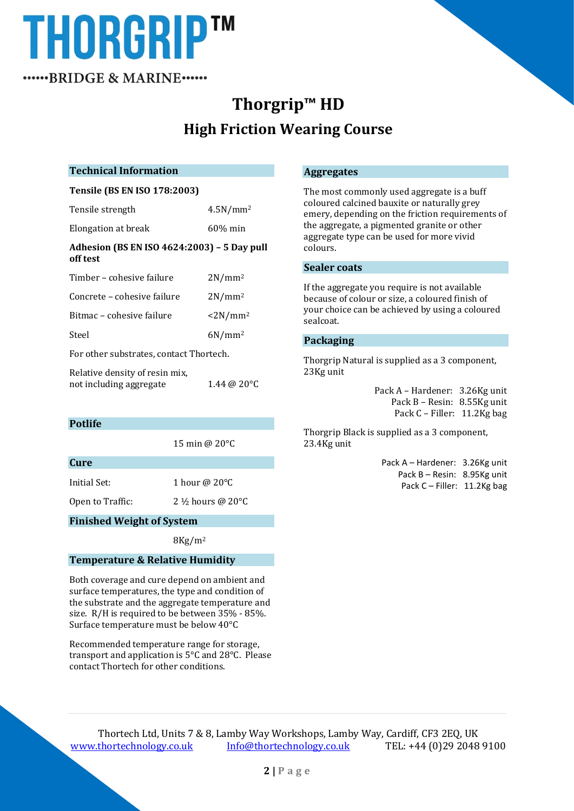# **THORGRIPTM**

......BRIDGE & MARINE......

## **Thorgrip™ HD High Friction Wearing Course**

#### **Technical Information**

#### **Tensile (BS EN ISO 178:2003)**

| Tensile strength                                        | 4.5N/mm <sup>2</sup>         |  |
|---------------------------------------------------------|------------------------------|--|
| Elongation at break                                     | $60\%$ min                   |  |
| Adhesion (BS EN ISO 4624:2003) - 5 Day pull<br>off test |                              |  |
| Timber - cohesive failure                               | $2N/mm^2$                    |  |
| Concrete – cohesive failure                             | $2N/mm^2$                    |  |
| Bitmac - cohesive failure                               | $\langle$ 2N/mm <sup>2</sup> |  |
| Steel                                                   | $6N/mm^2$                    |  |
| For other substrates, contact Thortech.                 |                              |  |
| Relative density of resin mix.                          |                              |  |

not including aggregate 1.44 @ 20°C

**Potlife**

15 min @ 20°C

**Cure**

Initial Set: 1 hour @ 20°C

Open to Traffic: 2 ½ hours @ 20°C

#### **Finished Weight of System**

 $8$ Kg/m<sup>2</sup>

#### **Temperature & Relative Humidity**

Both coverage and cure depend on ambient and surface temperatures, the type and condition of the substrate and the aggregate temperature and size. R/H is required to be between 35% - 85%. Surface temperature must be below 40°C

Recommended temperature range for storage, transport and application is 5°C and 28°C. Please contact Thortech for other conditions.

#### **Aggregates**

The most commonly used aggregate is a buff coloured calcined bauxite or naturally grey emery, depending on the friction requirements of the aggregate, a pigmented granite or other aggregate type can be used for more vivid colours.

#### **Sealer coats**

If the aggregate you require is not available because of colour or size, a coloured finish of your choice can be achieved by using a coloured sealcoat.

#### **Packaging**

Thorgrip Natural is supplied as a 3 component, 23Kg unit

> Pack A – Hardener: 3.26Kg unit Pack B – Resin: 8.55Kg unit Pack C – Filler: 11.2Kg bag

Thorgrip Black is supplied as a 3 component, 23.4Kg unit

> Pack A – Hardener: 3.26Kg unit Pack B – Resin: 8.95Kg unit Pack C – Filler: 11.2Kg bag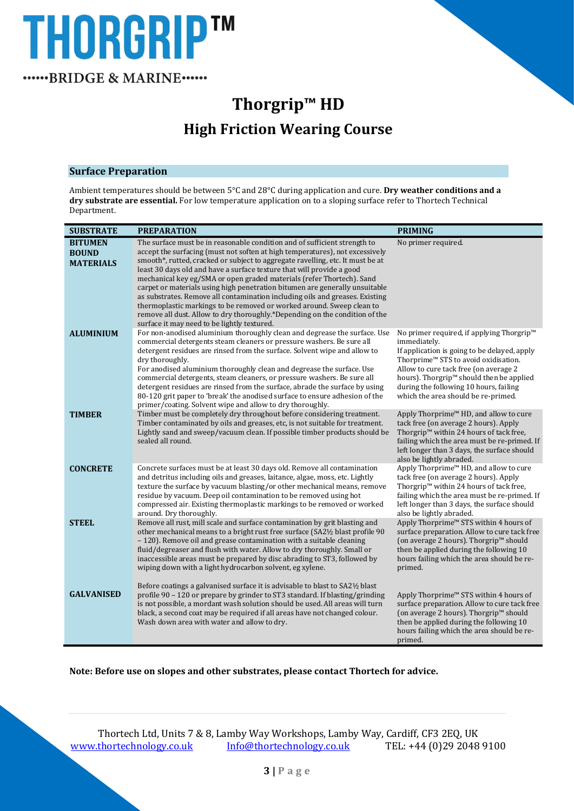# THORGRIP™ ......BRIDGE & MARINE......

**Thorgrip™ HD High Friction Wearing Course**

#### **Surface Preparation**

Ambient temperatures should be between 5°C and 28°C during application and cure. **Dry weather conditions and a dry substrate are essential.** For low temperature application on to a sloping surface refer to Thortech Technical Department.

| <b>SUBSTRATE</b>                                   | <b>PREPARATION</b>                                                                                                                                                                                                                                                                                                                                                                                                                                                                                                                                                                                                                                                                                                                                                  | <b>PRIMING</b>                                                                                                                                                                                                                                                                                                                                              |
|----------------------------------------------------|---------------------------------------------------------------------------------------------------------------------------------------------------------------------------------------------------------------------------------------------------------------------------------------------------------------------------------------------------------------------------------------------------------------------------------------------------------------------------------------------------------------------------------------------------------------------------------------------------------------------------------------------------------------------------------------------------------------------------------------------------------------------|-------------------------------------------------------------------------------------------------------------------------------------------------------------------------------------------------------------------------------------------------------------------------------------------------------------------------------------------------------------|
| <b>BITUMEN</b><br><b>BOUND</b><br><b>MATERIALS</b> | The surface must be in reasonable condition and of sufficient strength to<br>accept the surfacing (must not soften at high temperatures), not excessively<br>smooth*, rutted, cracked or subject to aggregate ravelling, etc. It must be at<br>least 30 days old and have a surface texture that will provide a good<br>mechanical key eg/SMA or open graded materials (refer Thortech). Sand<br>carpet or materials using high penetration bitumen are generally unsuitable<br>as substrates. Remove all contamination including oils and greases. Existing<br>thermoplastic markings to be removed or worked around. Sweep clean to<br>remove all dust. Allow to dry thoroughly.*Depending on the condition of the<br>surface it may need to be lightly textured. | No primer required.                                                                                                                                                                                                                                                                                                                                         |
| <b>ALUMINIUM</b>                                   | For non-anodised aluminium thoroughly clean and degrease the surface. Use<br>commercial detergents steam cleaners or pressure washers. Be sure all<br>detergent residues are rinsed from the surface. Solvent wipe and allow to<br>dry thoroughly.<br>For anodised aluminium thoroughly clean and degrease the surface. Use<br>commercial detergents, steam cleaners, or pressure washers. Be sure all<br>detergent residues are rinsed from the surface, abrade the surface by using<br>80-120 grit paper to 'break' the anodised surface to ensure adhesion of the<br>primer/coating. Solvent wipe and allow to dry thoroughly.                                                                                                                                   | No primer required, if applying Thorgrip <sup>™</sup><br>immediately.<br>If application is going to be delayed, apply<br>Thorprime <sup>™</sup> STS to avoid oxidisation.<br>Allow to cure tack free (on average 2<br>hours). Thorgrip <sup>™</sup> should then be applied<br>during the following 10 hours, failing<br>which the area should be re-primed. |
| <b>TIMBER</b>                                      | Timber must be completely dry throughout before considering treatment.<br>Timber contaminated by oils and greases, etc, is not suitable for treatment.<br>Lightly sand and sweep/vacuum clean. If possible timber products should be<br>sealed all round.                                                                                                                                                                                                                                                                                                                                                                                                                                                                                                           | Apply Thorprime <sup>™</sup> HD, and allow to cure<br>tack free (on average 2 hours). Apply<br>Thorgrip <sup>™</sup> within 24 hours of tack free,<br>failing which the area must be re-primed. If<br>left longer than 3 days, the surface should<br>also be lightly abraded.                                                                               |
| <b>CONCRETE</b>                                    | Concrete surfaces must be at least 30 days old. Remove all contamination<br>and detritus including oils and greases, laitance, algae, moss, etc. Lightly<br>texture the surface by vacuum blasting/or other mechanical means, remove<br>residue by vacuum. Deep oil contamination to be removed using hot<br>compressed air. Existing thermoplastic markings to be removed or worked<br>around. Dry thoroughly.                                                                                                                                                                                                                                                                                                                                                     | Apply Thorprime™ HD, and allow to cure<br>tack free (on average 2 hours). Apply<br>Thorgrip <sup>™</sup> within 24 hours of tack free,<br>failing which the area must be re-primed. If<br>left longer than 3 days, the surface should<br>also be lightly abraded.                                                                                           |
| <b>STEEL</b>                                       | Remove all rust, mill scale and surface contamination by grit blasting and<br>other mechanical means to a bright rust free surface (SA2½ blast profile 90<br>- 120). Remove oil and grease contamination with a suitable cleaning<br>fluid/degreaser and flush with water. Allow to dry thoroughly. Small or<br>inaccessible areas must be prepared by disc abrading to ST3, followed by<br>wiping down with a light hydrocarbon solvent, eg xylene.                                                                                                                                                                                                                                                                                                                | Apply Thorprime <sup>™</sup> STS within 4 hours of<br>surface preparation. Allow to cure tack free<br>(on average 2 hours). Thorgrip™ should<br>then be applied during the following 10<br>hours failing which the area should be re-<br>primed.                                                                                                            |
| <b>GALVANISED</b>                                  | Before coatings a galvanised surface it is advisable to blast to SA21/2 blast<br>profile 90 – 120 or prepare by grinder to ST3 standard. If blasting/grinding<br>is not possible, a mordant wash solution should be used. All areas will turn<br>black, a second coat may be required if all areas have not changed colour.<br>Wash down area with water and allow to dry.                                                                                                                                                                                                                                                                                                                                                                                          | Apply Thorprime™ STS within 4 hours of<br>surface preparation. Allow to cure tack free<br>(on average 2 hours). Thorgrip™ should<br>then be applied during the following 10<br>hours failing which the area should be re-<br>primed.                                                                                                                        |

**Note: Before use on slopes and other substrates, please contact Thortech for advice.**

Thortech Ltd, Units 7 & 8, Lamby Way Workshops, Lamby Way, Cardiff, CF3 2EQ, UK [www.thortechnology.co.uk](http://www.thortechnology.co.uk/) [Info@thortechnology.co.uk](mailto:Info@thortechnology.co.uk) TEL: +44 (0)29 2048 9100